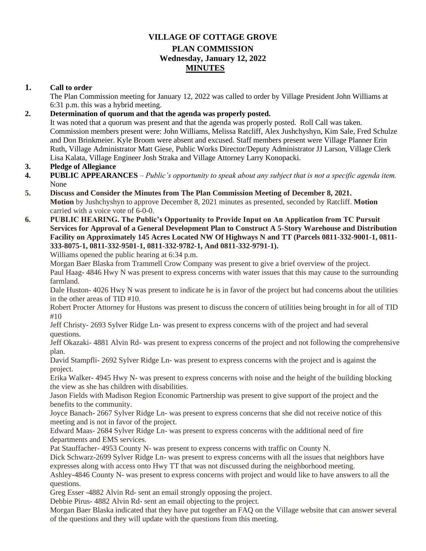# **VILLAGE OF COTTAGE GROVE PLAN COMMISSION Wednesday, January 12, 2022 MINUTES**

# **1. Call to order**

The Plan Commission meeting for January 12, 2022 was called to order by Village President John Williams at 6:31 p.m. this was a hybrid meeting.

# **2. Determination of quorum and that the agenda was properly posted.**

It was noted that a quorum was present and that the agenda was properly posted. Roll Call was taken. Commission members present were: John Williams, Melissa Ratcliff, Alex Jushchyshyn, Kim Sale, Fred Schulze and Don Brinkmeier. Kyle Broom were absent and excused. Staff members present were Village Planner Erin Ruth, Village Administrator Matt Giese, Public Works Director/Deputy Administrator JJ Larson, Village Clerk Lisa Kalata, Village Engineer Josh Straka and Village Attorney Larry Konopacki.

#### **3. Pledge of Allegiance**

- **4. PUBLIC APPEARANCES** *Public's opportunity to speak about any subject that is not a specific agenda item.*  None
- **5. Discuss and Consider the Minutes from The Plan Commission Meeting of December 8, 2021. Motion** by Jushchyshyn to approve December 8, 2021 minutes as presented, seconded by Ratcliff. **Motion** carried with a voice vote of 6-0-0.
- **6. PUBLIC HEARING. The Public's Opportunity to Provide Input on An Application from TC Pursuit Services for Approval of a General Development Plan to Construct A 5-Story Warehouse and Distribution Facility on Approximately 145 Acres Located NW Of Highways N and TT (Parcels 0811-332-9001-1, 0811- 333-8075-1, 0811-332-9501-1, 0811-332-9782-1, And 0811-332-9791-1).**

Williams opened the public hearing at 6:34 p.m.

Morgan Baer Blaska from Trammell Crow Company was present to give a brief overview of the project. Paul Haag- 4846 Hwy N was present to express concerns with water issues that this may cause to the surrounding farmland.

Dale Huston- 4026 Hwy N was present to indicate he is in favor of the project but had concerns about the utilities in the other areas of TID #10.

Robert Procter Attorney for Hustons was present to discuss the concern of utilities being brought in for all of TID #10

Jeff Christy- 2693 Sylver Ridge Ln- was present to express concerns with of the project and had several questions.

Jeff Okazaki- 4881 Alvin Rd- was present to express concerns of the project and not following the comprehensive plan.

David Stampfli- 2692 Sylver Ridge Ln- was present to express concerns with the project and is against the project.

Erika Walker- 4945 Hwy N- was present to express concerns with noise and the height of the building blocking the view as she has children with disabilities.

Jason Fields with Madison Region Economic Partnership was present to give support of the project and the benefits to the community.

Joyce Banach- 2667 Sylver Ridge Ln- was present to express concerns that she did not receive notice of this meeting and is not in favor of the project.

Edward Maas- 2684 Sylver Ridge Ln- was present to express concerns with the additional need of fire departments and EMS services.

Pat Stauffacher- 4953 County N- was present to express concerns with traffic on County N.

Dick Schwarz-2699 Sylver Ridge Ln- was present to express concerns with all the issues that neighbors have expresses along with access onto Hwy TT that was not discussed during the neighborhood meeting.

Ashley-4846 County N- was present to express concerns with project and would like to have answers to all the questions.

Greg Esser -4882 Alvin Rd- sent an email strongly opposing the project.

Debbie Pirus- 4882 Alvin Rd- sent an email objecting to the project.

Morgan Baer Blaska indicated that they have put together an FAQ on the Village website that can answer several of the questions and they will update with the questions from this meeting.